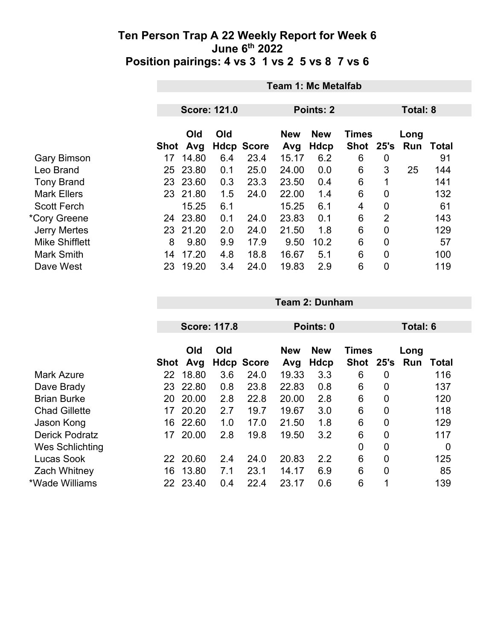|                       | <b>Team 1: Mc Metalfab</b> |                     |     |                   |                   |                    |                           |                |             |       |
|-----------------------|----------------------------|---------------------|-----|-------------------|-------------------|--------------------|---------------------------|----------------|-------------|-------|
|                       |                            |                     |     |                   |                   |                    |                           |                |             |       |
|                       |                            | <b>Score: 121.0</b> |     |                   |                   | Points: 2          | Total: 8                  |                |             |       |
|                       | Shot                       | Old<br>Avg          | Old | <b>Hdcp Score</b> | <b>New</b><br>Avg | <b>New</b><br>Hdcp | <b>Times</b><br>Shot 25's |                | Long<br>Run | Total |
| <b>Gary Bimson</b>    | 17                         | 14.80               | 6.4 | 23.4              | 15.17             | 6.2                | 6                         | 0              |             | 91    |
| Leo Brand             | 25                         | 23.80               | 0.1 | 25.0              | 24.00             | 0.0                | 6                         | 3              | 25          | 144   |
| <b>Tony Brand</b>     |                            | 23 23.60            | 0.3 | 23.3              | 23.50             | 0.4                | 6                         | $\mathbf 1$    |             | 141   |
| <b>Mark Ellers</b>    |                            | 23 21.80            | 1.5 | 24.0              | 22.00             | 1.4                | 6                         | 0              |             | 132   |
| <b>Scott Ferch</b>    |                            | 15.25               | 6.1 |                   | 15.25             | 6.1                | 4                         | $\overline{0}$ |             | 61    |
| *Cory Greene          | 24                         | 23.80               | 0.1 | 24.0              | 23.83             | 0.1                | 6                         | $\overline{2}$ |             | 143   |
| <b>Jerry Mertes</b>   |                            | 23 21.20            | 2.0 | 24.0              | 21.50             | 1.8                | 6                         | 0              |             | 129   |
| <b>Mike Shifflett</b> | 8                          | 9.80                | 9.9 | 17.9              | 9.50              | 10.2               | 6                         | 0              |             | 57    |
| <b>Mark Smith</b>     | 14                         | 17.20               | 4.8 | 18.8              | 16.67             | 5.1                | 6                         | $\overline{0}$ |             | 100   |
| Dave West             | 23                         | 19.20               | 3.4 | 24.0              | 19.83             | 2.9                | 6                         | 0              |             | 119   |

|                       |             |            | <b>Score: 117.8</b> |                   |            | Points: 0    |                | Total: 6       |     |              |
|-----------------------|-------------|------------|---------------------|-------------------|------------|--------------|----------------|----------------|-----|--------------|
|                       |             |            |                     |                   |            |              |                |                |     |              |
|                       |             | Old<br>Old |                     |                   | <b>New</b> | <b>Times</b> | Long           |                |     |              |
|                       | <b>Shot</b> | Avg        |                     | <b>Hdcp Score</b> | Avg        | Hdcp         | Shot 25's      |                | Run | <b>Total</b> |
| <b>Mark Azure</b>     | 22          | 18.80      | 3.6                 | 24.0              | 19.33      | 3.3          | 6              | 0              |     | 116          |
| Dave Brady            | 23          | 22.80      | 0.8                 | 23.8              | 22.83      | 0.8          | 6              | 0              |     | 137          |
| <b>Brian Burke</b>    | 20          | 20.00      | 2.8                 | 22.8              | 20.00      | 2.8          | 6              | 0              |     | 120          |
| <b>Chad Gillette</b>  | 17          | 20.20      | 2.7                 | 19.7              | 19.67      | 3.0          | 6              | 0              |     | 118          |
| Jason Kong            | 16          | 22.60      | 1.0                 | 17.0              | 21.50      | 1.8          | 6              | 0              |     | 129          |
| <b>Derick Podratz</b> | 17          | 20.00      | 2.8                 | 19.8              | 19.50      | 3.2          | 6              | 0              |     | 117          |
| Wes Schlichting       |             |            |                     |                   |            |              | $\overline{0}$ | $\overline{0}$ |     | $\mathbf 0$  |
| Lucas Sook            |             | 22 20.60   | 2.4                 | 24.0              | 20.83      | 2.2          | 6              | 0              |     | 125          |
| <b>Zach Whitney</b>   | 16          | 13.80      | 7.1                 | 23.1              | 14.17      | 6.9          | 6              | 0              |     | 85           |
| *Wade Williams        | 22          | 23.40      | 0.4                 | 22.4              | 23.17      | 0.6          | 6              | 1              |     | 139          |

**Team 2: Dunham**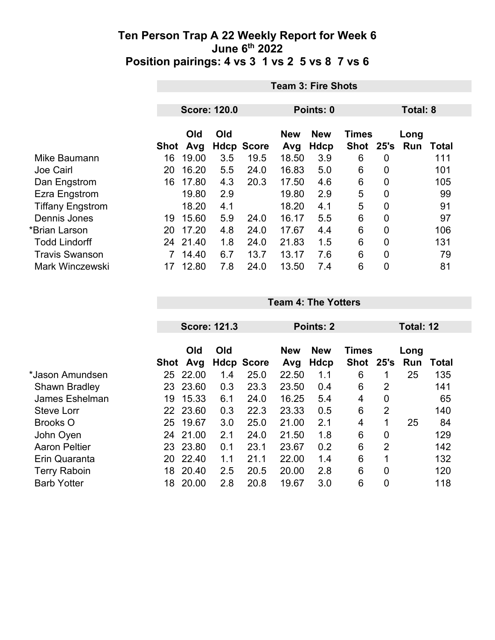|                         | <b>Team 3: Fire Shots</b> |                     |     |                   |                   |                    |                           |                |             |              |
|-------------------------|---------------------------|---------------------|-----|-------------------|-------------------|--------------------|---------------------------|----------------|-------------|--------------|
|                         |                           |                     |     |                   |                   |                    |                           |                |             |              |
|                         |                           | <b>Score: 120.0</b> |     |                   |                   | Points: 0          |                           | Total: 8       |             |              |
|                         | Shot                      | Old<br>Avg          | Old | <b>Hdcp Score</b> | <b>New</b><br>Avg | <b>New</b><br>Hdcp | <b>Times</b><br>Shot 25's |                | Long<br>Run | <b>Total</b> |
| Mike Baumann            | 16                        | 19.00               | 3.5 | 19.5              | 18.50             | 3.9                | 6                         | 0              |             | 111          |
| <b>Joe Cairl</b>        | 20                        | 16.20               | 5.5 | 24.0              | 16.83             | 5.0                | 6                         | $\overline{0}$ |             | 101          |
| Dan Engstrom            | 16                        | 17.80               | 4.3 | 20.3              | 17.50             | 4.6                | 6                         | 0              |             | 105          |
| <b>Ezra Engstrom</b>    |                           | 19.80               | 2.9 |                   | 19.80             | 2.9                | 5                         | $\mathbf 0$    |             | 99           |
| <b>Tiffany Engstrom</b> |                           | 18.20               | 4.1 |                   | 18.20             | 4.1                | 5                         | $\overline{0}$ |             | 91           |
| Dennis Jones            | 19                        | 15.60               | 5.9 | 24.0              | 16.17             | 5.5                | 6                         | $\overline{0}$ |             | 97           |
| *Brian Larson           | 20                        | 17.20               | 4.8 | 24.0              | 17.67             | 4.4                | 6                         | 0              |             | 106          |
| <b>Todd Lindorff</b>    | 24                        | 21.40               | 1.8 | 24.0              | 21.83             | 1.5                | 6                         | $\overline{0}$ |             | 131          |
| <b>Travis Swanson</b>   |                           | 14.40               | 6.7 | 13.7              | 13.17             | 7.6                | 6                         | $\overline{0}$ |             | 79           |
| <b>Mark Winczewski</b>  | 17                        | 12.80               | 7.8 | 24.0              | 13.50             | 7.4                | 6                         | 0              |             | 81           |

|                      |    | <b>Score: 121.3</b> |     |                   |                   | Points: 2          |                           | Total: 12      |             |              |
|----------------------|----|---------------------|-----|-------------------|-------------------|--------------------|---------------------------|----------------|-------------|--------------|
|                      |    | Old<br>Shot Avg     | Old | <b>Hdcp Score</b> | <b>New</b><br>Avg | <b>New</b><br>Hdcp | <b>Times</b><br>Shot 25's |                | Long<br>Run | <b>Total</b> |
| *Jason Amundsen      | 25 | 22.00               | 1.4 | 25.0              | 22.50             | 1.1                | 6                         | 1              | 25          | 135          |
| <b>Shawn Bradley</b> |    | 23 23.60            | 0.3 | 23.3              | 23.50             | 0.4                | 6                         | 2              |             | 141          |
| James Eshelman       | 19 | 15.33               | 6.1 | 24.0              | 16.25             | 5.4                | 4                         | 0              |             | 65           |
| <b>Steve Lorr</b>    |    | 22 23.60            | 0.3 | 22.3              | 23.33             | 0.5                | 6                         | $\overline{2}$ |             | 140          |
| <b>Brooks O</b>      | 25 | 19.67               | 3.0 | 25.0              | 21.00             | 2.1                | 4                         | 1              | 25          | 84           |
| John Oyen            | 24 | 21.00               | 2.1 | 24.0              | 21.50             | 1.8                | 6                         | 0              |             | 129          |
| <b>Aaron Peltier</b> |    | 23 23.80            | 0.1 | 23.1              | 23.67             | 0.2                | 6                         | $\overline{2}$ |             | 142          |
| Erin Quaranta        | 20 | 22.40               | 1.1 | 21.1              | 22.00             | 1.4                | 6                         | 1              |             | 132          |
| <b>Terry Raboin</b>  | 18 | 20.40               | 2.5 | 20.5              | 20.00             | 2.8                | 6                         | 0              |             | 120          |
| <b>Barb Yotter</b>   | 18 | 20.00               | 2.8 | 20.8              | 19.67             | 3.0                | 6                         | $\overline{0}$ |             | 118          |

**Team 4: The Yotters**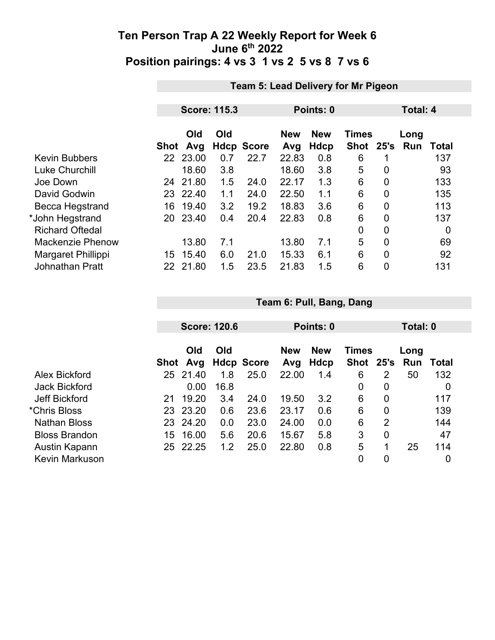|                         |      | Team 5: Lead Delivery for Mr Pigeon |                     |              |            |             |                      |                |     |              |  |
|-------------------------|------|-------------------------------------|---------------------|--------------|------------|-------------|----------------------|----------------|-----|--------------|--|
|                         |      |                                     |                     |              |            |             |                      |                |     |              |  |
|                         |      |                                     | <b>Score: 115.3</b> |              | Points: 0  |             | Total: 4             |                |     |              |  |
|                         |      | Old<br>Old                          |                     |              | <b>New</b> | <b>New</b>  | Long                 |                |     |              |  |
|                         | Shot | Avg                                 | Hdcp                | <b>Score</b> | Avg        | <b>Hdcp</b> | <b>Times</b><br>Shot | 25's           | Run | <b>Total</b> |  |
| <b>Kevin Bubbers</b>    |      | 22 23.00                            | 0.7                 | 22.7         | 22.83      | 0.8         | 6                    |                |     | 137          |  |
| <b>Luke Churchill</b>   |      | 18.60                               | 3.8                 |              | 18.60      | 3.8         | 5                    | 0              |     | 93           |  |
| Joe Down                | 24   | 21.80                               | 1.5                 | 24.0         | 22.17      | 1.3         | 6                    | 0              |     | 133          |  |
| David Godwin            |      | 23 22.40                            | 1.1                 | 24.0         | 22.50      | 1.1         | 6                    | 0              |     | 135          |  |
| Becca Hegstrand         | 16   | 19.40                               | 3.2                 | 19.2         | 18.83      | 3.6         | 6                    | $\overline{0}$ |     | 113          |  |
| *John Hegstrand         | 20.  | 23.40                               | 0.4                 | 20.4         | 22.83      | 0.8         | 6                    | 0              |     | 137          |  |
| <b>Richard Oftedal</b>  |      |                                     |                     |              |            |             | 0                    | 0              |     | 0            |  |
| <b>Mackenzie Phenow</b> |      | 13.80                               | 7.1                 |              | 13.80      | 7.1         | 5                    | $\overline{0}$ |     | 69           |  |
| Margaret Phillippi      | 15   | 15.40                               | 6.0                 | 21.0         | 15.33      | 6.1         | 6                    | 0              |     | 92           |  |
| <b>Johnathan Pratt</b>  |      | 22 21.80                            | 1.5                 | 23.5         | 21.83      | 1.5         | 6                    | 0              |     | 131          |  |
|                         |      |                                     |                     |              |            |             |                      |                |     |              |  |

**Score: 120.6 Points: 0 Total: 0 Old Old New New Times Long Shot Avg Hdcp Score Avg Hdcp Shot 25's Run Total** Alex Bickford 25 21.40 1.8 25.0 22.00 1.4 6 2 50 132 Jack Bickford 0.00 16.8 0 0 0 Jeff Bickford 21 19.20 3.4 24.0 19.50 3.2 6 0 117 \*Chris Bloss 23 23.20 0.6 23.6 23.17 0.6 6 0 139 Nathan Bloss 23 24.20 0.0 23.0 24.00 0.0 6 2 144 Bloss Brandon 15 16.00 5.6 20.6 15.67 5.8 3 0 47 Austin Kapann 25 22.25 1.2 25.0 22.80 0.8 5 1 25 114 Kevin Markuson 0 0 0

**Team 6: Pull, Bang, Dang**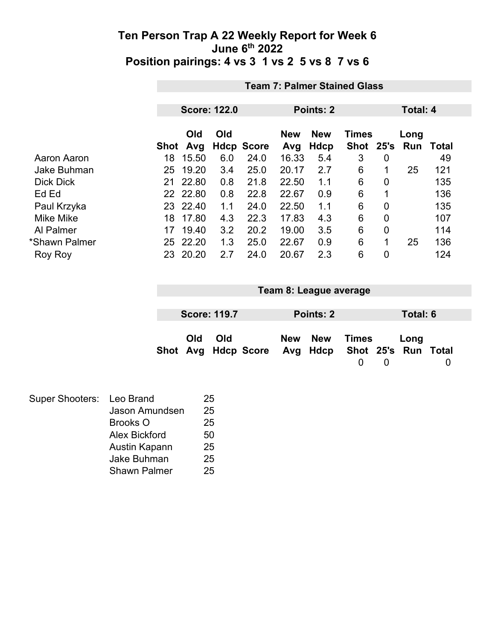|                  | <b>Team 7: Palmer Stained Glass</b> |                     |     |                   |            |            |              |              |      |       |
|------------------|-------------------------------------|---------------------|-----|-------------------|------------|------------|--------------|--------------|------|-------|
|                  |                                     |                     |     |                   |            |            |              |              |      |       |
|                  |                                     | <b>Score: 122.0</b> |     |                   |            | Points: 2  | Total: 4     |              |      |       |
|                  |                                     |                     |     |                   |            |            |              |              |      |       |
|                  |                                     | Old                 | Old |                   | <b>New</b> | <b>New</b> | <b>Times</b> |              | Long |       |
|                  | Shot                                | Avg                 |     | <b>Hdcp Score</b> | Avg        | Hdcp       | Shot 25's    |              | Run  | Total |
| Aaron Aaron      | 18                                  | 15.50               | 6.0 | 24.0              | 16.33      | 5.4        | 3            | 0            |      | 49    |
| Jake Buhman      | 25                                  | 19.20               | 3.4 | 25.0              | 20.17      | 2.7        | 6            | 1            | 25   | 121   |
| <b>Dick Dick</b> | 21                                  | 22.80               | 0.8 | 21.8              | 22.50      | 1.1        | 6            | 0            |      | 135   |
| Ed Ed            |                                     | 22 22.80            | 0.8 | 22.8              | 22.67      | 0.9        | 6            | 1            |      | 136   |
| Paul Krzyka      |                                     | 23 22.40            | 1.1 | 24.0              | 22.50      | 1.1        | 6            | 0            |      | 135   |
| <b>Mike Mike</b> | 18                                  | 17.80               | 4.3 | 22.3              | 17.83      | 4.3        | 6            | $\mathbf{0}$ |      | 107   |
| Al Palmer        | 17                                  | 19.40               | 3.2 | 20.2              | 19.00      | 3.5        | 6            | 0            |      | 114   |
| *Shawn Palmer    | 25                                  | 22.20               | 1.3 | 25.0              | 22.67      | 0.9        | 6            | 1            | 25   | 136   |
| Roy Roy          | 23.                                 | 20.20               | 2.7 | 24.0              | 20.67      | 2.3        | 6            | 0            |      | 124   |

| Team 8: League average |                     |                                                  |  |           |            |          |          |  |
|------------------------|---------------------|--------------------------------------------------|--|-----------|------------|----------|----------|--|
|                        |                     |                                                  |  |           |            |          |          |  |
|                        | <b>Score: 119.7</b> |                                                  |  | Points: 2 |            |          | Total: 6 |  |
| <b>Old</b>             | Old                 | Shot Avg Hdcp Score Avg Hdcp Shot 25's Run Total |  | New New   | Times<br>0 | $\left($ | Long     |  |

| Super Shooters: Leo Brand |                     | 25 |
|---------------------------|---------------------|----|
|                           | Jason Amundsen      | 25 |
|                           | <b>Brooks O</b>     | 25 |
|                           | Alex Bickford       | 50 |
|                           | Austin Kapann       | 25 |
|                           | Jake Buhman         | 25 |
|                           | <b>Shawn Palmer</b> | 25 |
|                           |                     |    |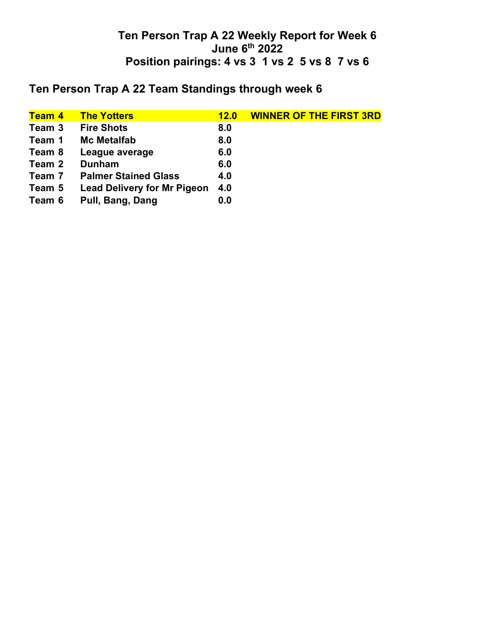# **Ten Person Trap A 22 Team Standings through week 6**

| <b>Team 4</b> | <b>The Yotters</b>                 | 12.0 | <b>WINNER OF THE FIRST 3RD</b> |
|---------------|------------------------------------|------|--------------------------------|
| Team 3        | <b>Fire Shots</b>                  | 8.0  |                                |
| Team 1        | <b>Mc Metalfab</b>                 | 8.0  |                                |
| Team 8        | League average                     | 6.0  |                                |
| Team 2        | <b>Dunham</b>                      | 6.0  |                                |
| Team 7        | <b>Palmer Stained Glass</b>        | 4.0  |                                |
| Team 5        | <b>Lead Delivery for Mr Pigeon</b> | 4.0  |                                |
| Team 6        | Pull, Bang, Dang                   | 0.0  |                                |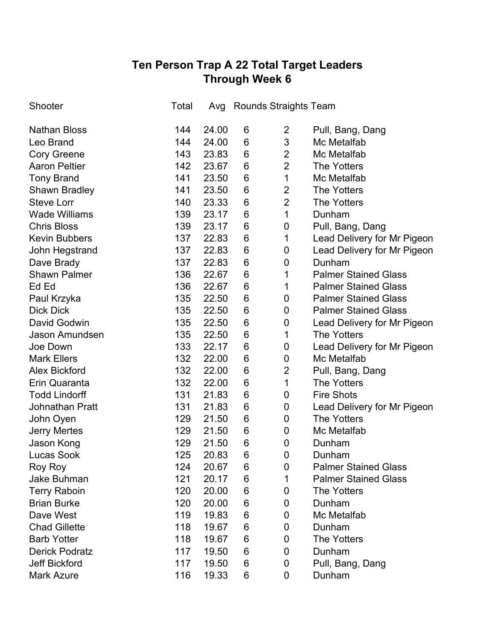# **Ten Person Trap A 22 Total Target Leaders Through Week 6**

| Shooter               | Total | Avg   |   | Rounds Straights Team |                             |
|-----------------------|-------|-------|---|-----------------------|-----------------------------|
| <b>Nathan Bloss</b>   | 144   | 24.00 | 6 | 2                     | Pull, Bang, Dang            |
| Leo Brand             | 144   | 24.00 | 6 | 3                     | Mc Metalfab                 |
| <b>Cory Greene</b>    | 143   | 23.83 | 6 | $\overline{2}$        | Mc Metalfab                 |
| <b>Aaron Peltier</b>  | 142   | 23.67 | 6 | $\overline{2}$        | <b>The Yotters</b>          |
| <b>Tony Brand</b>     | 141   | 23.50 | 6 | 1                     | Mc Metalfab                 |
| Shawn Bradley         | 141   | 23.50 | 6 | $\overline{2}$        | The Yotters                 |
| <b>Steve Lorr</b>     | 140   | 23.33 | 6 | $\overline{2}$        | <b>The Yotters</b>          |
| <b>Wade Williams</b>  | 139   | 23.17 | 6 | 1                     | Dunham                      |
| <b>Chris Bloss</b>    | 139   | 23.17 | 6 | 0                     | Pull, Bang, Dang            |
| <b>Kevin Bubbers</b>  | 137   | 22.83 | 6 | 1                     | Lead Delivery for Mr Pigeon |
| John Hegstrand        | 137   | 22.83 | 6 | 0                     | Lead Delivery for Mr Pigeon |
| Dave Brady            | 137   | 22.83 | 6 | $\boldsymbol{0}$      | Dunham                      |
| <b>Shawn Palmer</b>   | 136   | 22.67 | 6 | 1                     | <b>Palmer Stained Glass</b> |
| Ed Ed                 | 136   | 22.67 | 6 | 1                     | <b>Palmer Stained Glass</b> |
| Paul Krzyka           | 135   | 22.50 | 6 | $\boldsymbol{0}$      | <b>Palmer Stained Glass</b> |
| <b>Dick Dick</b>      | 135   | 22.50 | 6 | $\boldsymbol{0}$      | <b>Palmer Stained Glass</b> |
| David Godwin          | 135   | 22.50 | 6 | 0                     | Lead Delivery for Mr Pigeon |
| Jason Amundsen        | 135   | 22.50 | 6 | 1                     | <b>The Yotters</b>          |
| Joe Down              | 133   | 22.17 | 6 | 0                     | Lead Delivery for Mr Pigeon |
| <b>Mark Ellers</b>    | 132   | 22.00 | 6 | $\boldsymbol{0}$      | Mc Metalfab                 |
| <b>Alex Bickford</b>  | 132   | 22.00 | 6 | $\overline{2}$        | Pull, Bang, Dang            |
| Erin Quaranta         | 132   | 22.00 | 6 | 1                     | <b>The Yotters</b>          |
| <b>Todd Lindorff</b>  | 131   | 21.83 | 6 | 0                     | <b>Fire Shots</b>           |
| Johnathan Pratt       | 131   | 21.83 | 6 | $\boldsymbol{0}$      | Lead Delivery for Mr Pigeon |
| John Oyen             | 129   | 21.50 | 6 | 0                     | <b>The Yotters</b>          |
| <b>Jerry Mertes</b>   | 129   | 21.50 | 6 | 0                     | Mc Metalfab                 |
| Jason Kong            | 129   | 21.50 | 6 | 0                     | Dunham                      |
| <b>Lucas Sook</b>     | 125   | 20.83 | 6 | 0                     | Dunham                      |
| Roy Roy               | 124   | 20.67 | 6 | 0                     | <b>Palmer Stained Glass</b> |
| Jake Buhman           | 121   | 20.17 | 6 | 1                     | <b>Palmer Stained Glass</b> |
| <b>Terry Raboin</b>   | 120   | 20.00 | 6 | 0                     | <b>The Yotters</b>          |
| <b>Brian Burke</b>    | 120   | 20.00 | 6 | 0                     | Dunham                      |
| Dave West             | 119   | 19.83 | 6 | 0                     | Mc Metalfab                 |
| <b>Chad Gillette</b>  | 118   | 19.67 | 6 | 0                     | Dunham                      |
| <b>Barb Yotter</b>    | 118   | 19.67 | 6 | 0                     | <b>The Yotters</b>          |
| <b>Derick Podratz</b> | 117   | 19.50 | 6 | 0                     | Dunham                      |
| <b>Jeff Bickford</b>  | 117   | 19.50 | 6 | 0                     | Pull, Bang, Dang            |
| <b>Mark Azure</b>     | 116   | 19.33 | 6 | 0                     | Dunham                      |